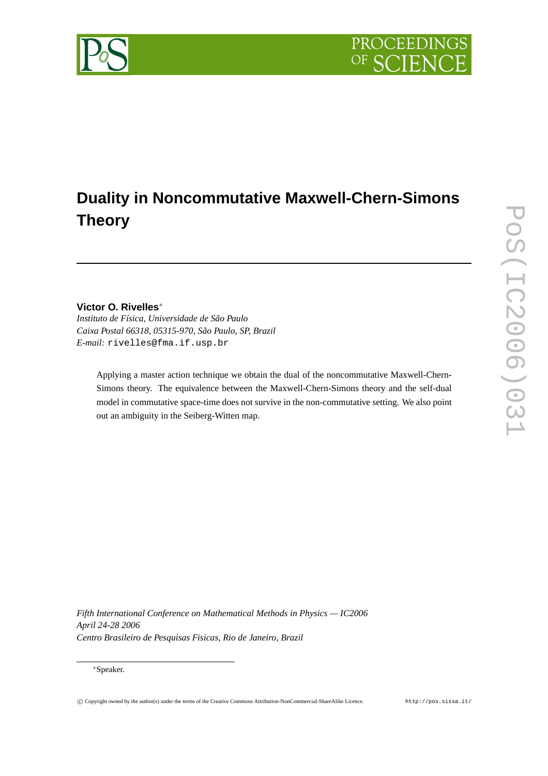

# **Duality in Noncommutative Maxwell-Chern-Simons Theory**

## **Victor O. Rivelles**<sup>∗</sup>

*Instituto de Física, Universidade de São Paulo Caixa Postal 66318, 05315-970, São Paulo, SP, Brazil E-mail:* rivelles@fma.if.usp.br

Applying a master action technique we obtain the dual of the noncommutative Maxwell-Chern-Simons theory. The equivalence between the Maxwell-Chern-Simons theory and the self-dual model in commutative space-time does not survive in the non-commutative setting. We also point out an ambiguity in the Seiberg-Witten map.

*Fifth International Conference on Mathematical Methods in Physics — IC2006 April 24-28 2006 Centro Brasileiro de Pesquisas Fisicas, Rio de Janeiro, Brazil*

#### <sup>∗</sup>Speaker.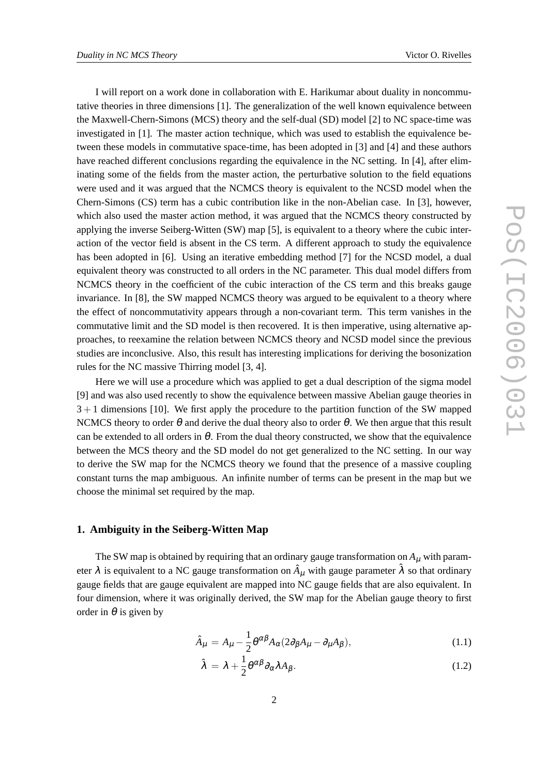I will report on a work done in collaboration with E. Harikumar about duality in noncommutative theories in three dimensions [1]. The generalization of the well known equivalence between the Maxwell-Chern-Simons (MCS) theory and the self-dual (SD) model [2] to NC space-time was investigated in [1]. The master action technique, which was used to establish the equivalence between these models in commutative space-time, has been adopted in [3] and [4] and these authors have reached different conclusions regarding the equivalence in the NC setting. In [4], after eliminating some of the fields from the master action, the perturbative solution to the field equations were used and it was argued that the NCMCS theory is equivalent to the NCSD model when the Chern-Simons (CS) term has a cubic contribution like in the non-Abelian case. In [3], however, which also used the master action method, it was argued that the NCMCS theory constructed by applying the inverse Seiberg-Witten (SW) map [5], is equivalent to a theory where the cubic interaction of the vector field is absent in the CS term. A different approach to study the equivalence has been adopted in [6]. Using an iterative embedding method [7] for the NCSD model, a dual equivalent theory was constructed to all orders in the NC parameter. This dual model differs from NCMCS theory in the coefficient of the cubic interaction of the CS term and this breaks gauge invariance. In [8], the SW mapped NCMCS theory was argued to be equivalent to a theory where the effect of noncommutativity appears through a non-covariant term. This term vanishes in the commutative limit and the SD model is then recovered. It is then imperative, using alternative approaches, to reexamine the relation between NCMCS theory and NCSD model since the previous studies are inconclusive. Also, this result has interesting implications for deriving the bosonization rules for the NC massive Thirring model [3, 4].

Here we will use a procedure which was applied to get a dual description of the sigma model [9] and was also used recently to show the equivalence between massive Abelian gauge theories in  $3 + 1$  dimensions [10]. We first apply the procedure to the partition function of the SW mapped NCMCS theory to order  $\theta$  and derive the dual theory also to order  $\theta$ . We then argue that this result can be extended to all orders in  $\theta$ . From the dual theory constructed, we show that the equivalence between the MCS theory and the SD model do not get generalized to the NC setting. In our way to derive the SW map for the NCMCS theory we found that the presence of a massive coupling constant turns the map ambiguous. An infinite number of terms can be present in the map but we choose the minimal set required by the map.

#### **1. Ambiguity in the Seiberg-Witten Map**

The SW map is obtained by requiring that an ordinary gauge transformation on  $A_\mu$  with parameter  $\lambda$  is equivalent to a NC gauge transformation on  $\hat{A}_\mu$  with gauge parameter  $\hat{\lambda}$  so that ordinary gauge fields that are gauge equivalent are mapped into NC gauge fields that are also equivalent. In four dimension, where it was originally derived, the SW map for the Abelian gauge theory to first order in  $\theta$  is given by

$$
\hat{A}_{\mu} = A_{\mu} - \frac{1}{2} \theta^{\alpha \beta} A_{\alpha} (2 \partial_{\beta} A_{\mu} - \partial_{\mu} A_{\beta}), \qquad (1.1)
$$

$$
\hat{\lambda} = \lambda + \frac{1}{2} \theta^{\alpha \beta} \partial_{\alpha} \lambda A_{\beta}.
$$
 (1.2)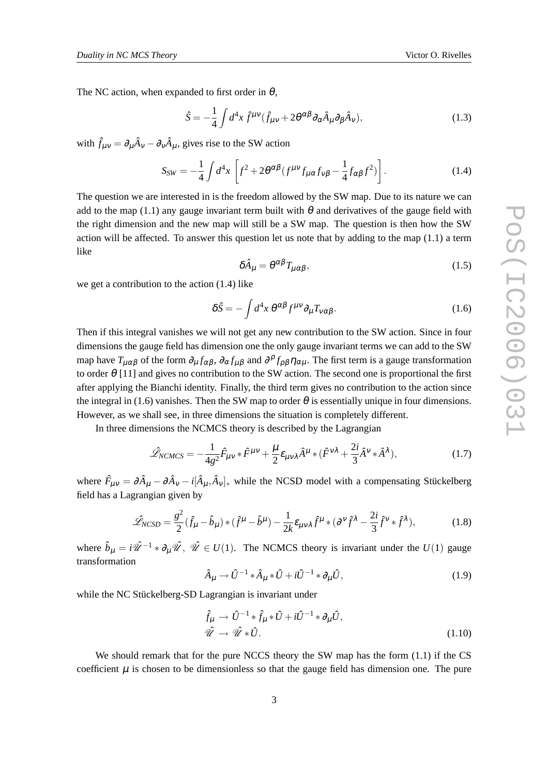The NC action, when expanded to first order in  $\theta$ ,

$$
\hat{S} = -\frac{1}{4} \int d^4x \,\hat{f}^{\mu\nu} (\hat{f}_{\mu\nu} + 2\theta^{\alpha\beta} \partial_\alpha \hat{A}_\mu \partial_\beta \hat{A}_\nu),\tag{1.3}
$$

with  $\hat{f}_{\mu\nu} = \partial_{\mu}\hat{A}_{\nu} - \partial_{\nu}\hat{A}_{\mu}$ , gives rise to the SW action

$$
S_{SW} = -\frac{1}{4} \int d^4x \left[ f^2 + 2\theta^{\alpha\beta} (f^{\mu\nu} f_{\mu\alpha} f_{\nu\beta} - \frac{1}{4} f_{\alpha\beta} f^2) \right].
$$
 (1.4)

The question we are interested in is the freedom allowed by the SW map. Due to its nature we can add to the map (1.1) any gauge invariant term built with  $\theta$  and derivatives of the gauge field with the right dimension and the new map will still be a SW map. The question is then how the SW action will be affected. To answer this question let us note that by adding to the map (1.1) a term like

$$
\delta \hat{A}_{\mu} = \theta^{\alpha\beta} T_{\mu\alpha\beta},\tag{1.5}
$$

we get a contribution to the action (1.4) like

$$
\delta \hat{S} = -\int d^4x \ \theta^{\alpha\beta} f^{\mu\nu} \partial_\mu T_{\nu\alpha\beta}.
$$
 (1.6)

Then if this integral vanishes we will not get any new contribution to the SW action. Since in four dimensions the gauge field has dimension one the only gauge invariant terms we can add to the SW map have  $T_{\mu\alpha\beta}$  of the form  $\partial_\mu f_{\alpha\beta}$ ,  $\partial_\alpha f_{\mu\beta}$  and  $\partial^\rho f_{\rho\beta} \eta_{\alpha\mu}$ . The first term is a gauge transformation to order  $\theta$  [11] and gives no contribution to the SW action. The second one is proportional the first after applying the Bianchi identity. Finally, the third term gives no contribution to the action since the integral in (1.6) vanishes. Then the SW map to order  $\theta$  is essentially unique in four dimensions. However, as we shall see, in three dimensions the situation is completely different.

In three dimensions the NCMCS theory is described by the Lagrangian

$$
\hat{\mathcal{L}}_{NCMCS} = -\frac{1}{4g^2} \hat{F}_{\mu\nu} * \hat{F}^{\mu\nu} + \frac{\mu}{2} \varepsilon_{\mu\nu\lambda} \hat{A}^{\mu} * (\hat{F}^{\nu\lambda} + \frac{2i}{3} \hat{A}^{\nu} * \hat{A}^{\lambda}), \tag{1.7}
$$

where  $\hat{F}_{\mu\nu} = \partial \hat{A}_{\mu} - \partial \hat{A}_{\nu} - i[\hat{A}_{\mu}, \hat{A}_{\nu}]_*$  while the NCSD model with a compensating Stückelberg field has a Lagrangian given by

$$
\hat{\mathcal{L}}_{NCSD} = \frac{g^2}{2} (\hat{f}_{\mu} - \hat{b}_{\mu}) * (\hat{f}^{\mu} - \hat{b}^{\mu}) - \frac{1}{2k} \varepsilon_{\mu\nu\lambda} \hat{f}^{\mu} * (\partial^{\nu} \hat{f}^{\lambda} - \frac{2i}{3} \hat{f}^{\nu} * \hat{f}^{\lambda}), \tag{1.8}
$$

where  $\hat{b}_{\mu} = i\hat{\mathcal{U}}^{-1} * \partial_{\mu} \hat{\mathcal{U}}, \hat{\mathcal{U}} \in U(1)$ . The NCMCS theory is invariant under the  $U(1)$  gauge transformation

$$
\hat{A}_{\mu} \rightarrow \hat{U}^{-1} * \hat{A}_{\mu} * \hat{U} + i\hat{U}^{-1} * \partial_{\mu}\hat{U}, \qquad (1.9)
$$

while the NC Stückelberg-SD Lagrangian is invariant under

$$
\hat{f}_{\mu} \rightarrow \hat{U}^{-1} * \hat{f}_{\mu} * \hat{U} + i\hat{U}^{-1} * \partial_{\mu}\hat{U},
$$
  

$$
\hat{\mathscr{U}} \rightarrow \hat{\mathscr{U}} * \hat{U}.
$$
 (1.10)

We should remark that for the pure NCCS theory the SW map has the form  $(1.1)$  if the CS coefficient  $\mu$  is chosen to be dimensionless so that the gauge field has dimension one. The pure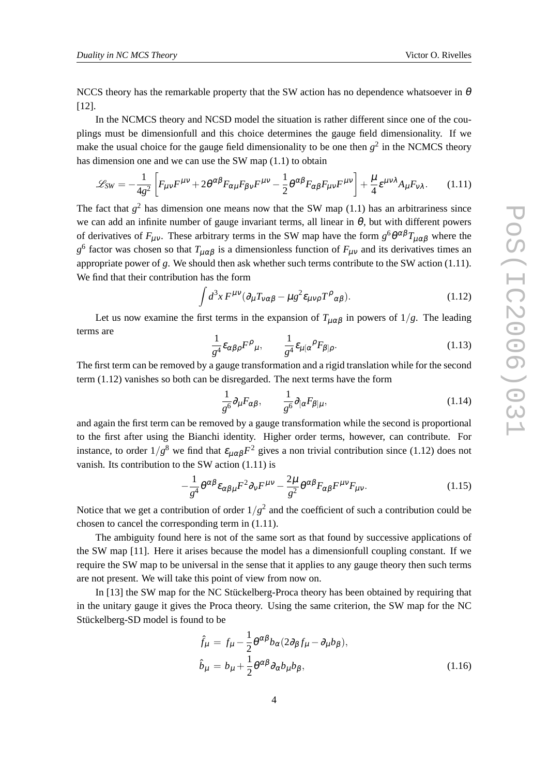NCCS theory has the remarkable property that the SW action has no dependence whatsoever in  $\theta$ [12].

In the NCMCS theory and NCSD model the situation is rather different since one of the couplings must be dimensionfull and this choice determines the gauge field dimensionality. If we make the usual choice for the gauge field dimensionality to be one then  $g^2$  in the NCMCS theory has dimension one and we can use the SW map (1.1) to obtain

$$
\mathcal{L}_{SW} = -\frac{1}{4g^2} \left[ F_{\mu\nu} F^{\mu\nu} + 2\theta^{\alpha\beta} F_{\alpha\mu} F_{\beta\nu} F^{\mu\nu} - \frac{1}{2} \theta^{\alpha\beta} F_{\alpha\beta} F_{\mu\nu} F^{\mu\nu} \right] + \frac{\mu}{4} \varepsilon^{\mu\nu\lambda} A_{\mu} F_{\nu\lambda}.
$$
 (1.11)

The fact that  $g^2$  has dimension one means now that the SW map (1.1) has an arbitrariness since we can add an infinite number of gauge invariant terms, all linear in  $\theta$ , but with different powers of derivatives of  $F_{\mu\nu}$ . These arbitrary terms in the SW map have the form  $g^6\theta^{\alpha\beta}T_{\mu\alpha\beta}$  where the  $g^6$  factor was chosen so that  $T_{\mu\alpha\beta}$  is a dimensionless function of  $F_{\mu\nu}$  and its derivatives times an appropriate power of *g*. We should then ask whether such terms contribute to the SW action (1.11). We find that their contribution has the form

$$
\int d^3x \, F^{\mu\nu} (\partial_{\mu} T_{\nu\alpha\beta} - \mu g^2 \varepsilon_{\mu\nu\rho} T^{\rho}{}_{\alpha\beta}). \tag{1.12}
$$

Let us now examine the first terms in the expansion of  $T_{\mu\alpha\beta}$  in powers of  $1/g$ . The leading terms are

$$
\frac{1}{g^4} \varepsilon_{\alpha\beta\rho} F^{\rho}{}_{\mu}, \qquad \frac{1}{g^4} \varepsilon_{\mu[\alpha}{}^{\rho} F_{\beta]\rho}.
$$
 (1.13)

The first term can be removed by a gauge transformation and a rigid translation while for the second term (1.12) vanishes so both can be disregarded. The next terms have the form

$$
\frac{1}{g^6} \partial_\mu F_{\alpha\beta}, \qquad \frac{1}{g^6} \partial_{[\alpha} F_{\beta]\mu}, \qquad (1.14)
$$

and again the first term can be removed by a gauge transformation while the second is proportional to the first after using the Bianchi identity. Higher order terms, however, can contribute. For instance, to order  $1/g^8$  we find that  $\varepsilon_{\mu\alpha\beta}F^2$  gives a non trivial contribution since (1.12) does not vanish. Its contribution to the SW action (1.11) is

$$
-\frac{1}{g^4}\theta^{\alpha\beta}\varepsilon_{\alpha\beta\mu}F^2\partial_\nu F^{\mu\nu}-\frac{2\mu}{g^2}\theta^{\alpha\beta}F_{\alpha\beta}F^{\mu\nu}F_{\mu\nu}.
$$
 (1.15)

Notice that we get a contribution of order  $1/g^2$  and the coefficient of such a contribution could be chosen to cancel the corresponding term in (1.11).

The ambiguity found here is not of the same sort as that found by successive applications of the SW map [11]. Here it arises because the model has a dimensionfull coupling constant. If we require the SW map to be universal in the sense that it applies to any gauge theory then such terms are not present. We will take this point of view from now on.

In [13] the SW map for the NC Stückelberg-Proca theory has been obtained by requiring that in the unitary gauge it gives the Proca theory. Using the same criterion, the SW map for the NC Stückelberg-SD model is found to be

$$
\hat{f}_{\mu} = f_{\mu} - \frac{1}{2} \theta^{\alpha \beta} b_{\alpha} (2 \partial_{\beta} f_{\mu} - \partial_{\mu} b_{\beta}),
$$
\n
$$
\hat{b}_{\mu} = b_{\mu} + \frac{1}{2} \theta^{\alpha \beta} \partial_{\alpha} b_{\mu} b_{\beta},
$$
\n(1.16)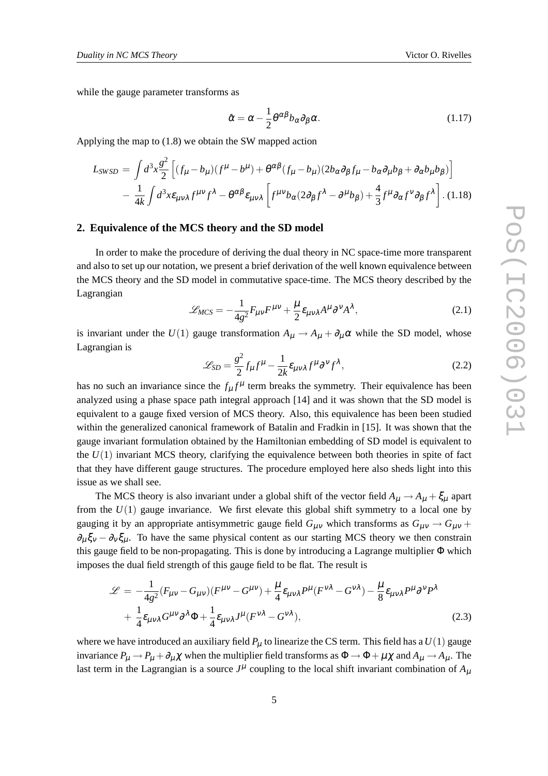while the gauge parameter transforms as

$$
\hat{\alpha} = \alpha - \frac{1}{2} \theta^{\alpha \beta} b_{\alpha} \partial_{\beta} \alpha.
$$
 (1.17)

Applying the map to (1.8) we obtain the SW mapped action

$$
L_{SWSD} = \int d^3x \frac{g^2}{2} \left[ (f_\mu - b_\mu)(f^\mu - b^\mu) + \theta^{\alpha\beta} (f_\mu - b_\mu)(2b_\alpha \partial_\beta f_\mu - b_\alpha \partial_\mu b_\beta + \partial_\alpha b_\mu b_\beta) \right]
$$
  

$$
- \frac{1}{4k} \int d^3x \varepsilon_{\mu\nu\lambda} f^{\mu\nu} f^\lambda - \theta^{\alpha\beta} \varepsilon_{\mu\nu\lambda} \left[ f^{\mu\nu} b_\alpha (2\partial_\beta f^\lambda - \partial^\mu b_\beta) + \frac{4}{3} f^\mu \partial_\alpha f^\nu \partial_\beta f^\lambda \right].
$$
(1.18)

#### **2. Equivalence of the MCS theory and the SD model**

In order to make the procedure of deriving the dual theory in NC space-time more transparent and also to set up our notation, we present a brief derivation of the well known equivalence between the MCS theory and the SD model in commutative space-time. The MCS theory described by the Lagrangian

$$
\mathcal{L}_{MCS} = -\frac{1}{4g^2} F_{\mu\nu} F^{\mu\nu} + \frac{\mu}{2} \varepsilon_{\mu\nu\lambda} A^{\mu} \partial^{\nu} A^{\lambda},\tag{2.1}
$$

is invariant under the  $U(1)$  gauge transformation  $A_{\mu} \rightarrow A_{\mu} + \partial_{\mu} \alpha$  while the SD model, whose Lagrangian is

$$
\mathcal{L}_{SD} = \frac{g^2}{2} f_{\mu} f^{\mu} - \frac{1}{2k} \varepsilon_{\mu\nu\lambda} f^{\mu} \partial^{\nu} f^{\lambda},\tag{2.2}
$$

has no such an invariance since the  $f_{\mu}f^{\mu}$  term breaks the symmetry. Their equivalence has been analyzed using a phase space path integral approach [14] and it was shown that the SD model is equivalent to a gauge fixed version of MCS theory. Also, this equivalence has been been studied within the generalized canonical framework of Batalin and Fradkin in [15]. It was shown that the gauge invariant formulation obtained by the Hamiltonian embedding of SD model is equivalent to the  $U(1)$  invariant MCS theory, clarifying the equivalence between both theories in spite of fact that they have different gauge structures. The procedure employed here also sheds light into this issue as we shall see.

The MCS theory is also invariant under a global shift of the vector field  $A_\mu \rightarrow A_\mu + \xi_\mu$  apart from the *U*(1) gauge invariance. We first elevate this global shift symmetry to a local one by gauging it by an appropriate antisymmetric gauge field  $G_{\mu\nu}$  which transforms as  $G_{\mu\nu} \rightarrow G_{\mu\nu} + G_{\mu\nu}$  $\partial_\mu \xi_v - \partial_v \xi_\mu$ . To have the same physical content as our starting MCS theory we then constrain this gauge field to be non-propagating. This is done by introducing a Lagrange multiplier Φ which imposes the dual field strength of this gauge field to be flat. The result is

$$
\mathcal{L} = -\frac{1}{4g^2} (F_{\mu\nu} - G_{\mu\nu}) (F^{\mu\nu} - G^{\mu\nu}) + \frac{\mu}{4} \varepsilon_{\mu\nu\lambda} P^{\mu} (F^{\nu\lambda} - G^{\nu\lambda}) - \frac{\mu}{8} \varepsilon_{\mu\nu\lambda} P^{\mu} \partial^{\nu} P^{\lambda} + \frac{1}{4} \varepsilon_{\mu\nu\lambda} G^{\mu\nu} \partial^{\lambda} \Phi + \frac{1}{4} \varepsilon_{\mu\nu\lambda} J^{\mu} (F^{\nu\lambda} - G^{\nu\lambda}),
$$
\n(2.3)

where we have introduced an auxiliary field  $P_{\mu}$  to linearize the CS term. This field has a  $U(1)$  gauge invariance  $P_\mu \to P_\mu + \partial_\mu \chi$  when the multiplier field transforms as  $\Phi \to \Phi + \mu \chi$  and  $A_\mu \to A_\mu$ . The last term in the Lagrangian is a source  $J^{\mu}$  coupling to the local shift invariant combination of  $A_{\mu}$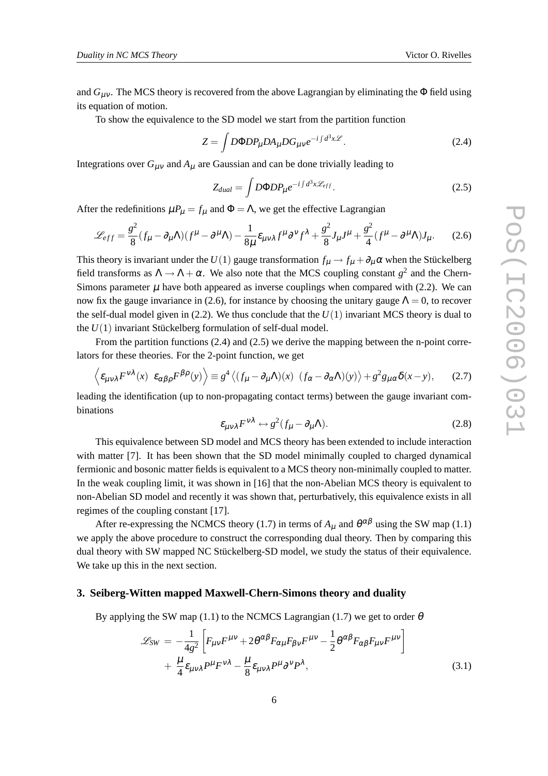and  $G_{\mu\nu}$ . The MCS theory is recovered from the above Lagrangian by eliminating the  $\Phi$  field using its equation of motion.

To show the equivalence to the SD model we start from the partition function

$$
Z = \int D\Phi D P_{\mu} D A_{\mu} D G_{\mu\nu} e^{-i \int d^3 x \mathcal{L}}.
$$
 (2.4)

Integrations over  $G_{\mu\nu}$  and  $A_{\mu}$  are Gaussian and can be done trivially leading to

$$
Z_{dual} = \int D\Phi D P_{\mu} e^{-i \int d^3x \mathcal{L}_{eff}}.
$$
 (2.5)

After the redefinitions  $\mu P_{\mu} = f_{\mu}$  and  $\Phi = \Lambda$ , we get the effective Lagrangian

$$
\mathcal{L}_{eff} = \frac{g^2}{8}(f_\mu - \partial_\mu \Lambda)(f^\mu - \partial^\mu \Lambda) - \frac{1}{8\mu} \varepsilon_{\mu\nu\lambda} f^\mu \partial^\nu f^\lambda + \frac{g^2}{8} J_\mu J^\mu + \frac{g^2}{4} (f^\mu - \partial^\mu \Lambda) J_\mu. \tag{2.6}
$$

This theory is invariant under the  $U(1)$  gauge transformation  $f_{\mu} \to f_{\mu} + \partial_{\mu} \alpha$  when the Stückelberg field transforms as  $\Lambda \to \Lambda + \alpha$ . We also note that the MCS coupling constant  $g^2$  and the Chern-Simons parameter  $\mu$  have both appeared as inverse couplings when compared with (2.2). We can now fix the gauge invariance in (2.6), for instance by choosing the unitary gauge  $\Lambda = 0$ , to recover the self-dual model given in  $(2.2)$ . We thus conclude that the  $U(1)$  invariant MCS theory is dual to the *U*(1) invariant Stückelberg formulation of self-dual model.

From the partition functions (2.4) and (2.5) we derive the mapping between the n-point correlators for these theories. For the 2-point function, we get

$$
\left\langle \varepsilon_{\mu\nu\lambda} F^{\nu\lambda}(x) \ \varepsilon_{\alpha\beta\rho} F^{\beta\rho}(y) \right\rangle \equiv g^4 \left\langle (f_\mu - \partial_\mu \Lambda)(x) \ (f_\alpha - \partial_\alpha \Lambda)(y) \right\rangle + g^2 g_{\mu\alpha} \delta(x - y), \tag{2.7}
$$

leading the identification (up to non-propagating contact terms) between the gauge invariant combinations

$$
\varepsilon_{\mu\nu\lambda} F^{\nu\lambda} \leftrightarrow g^2(f_\mu - \partial_\mu \Lambda). \tag{2.8}
$$

This equivalence between SD model and MCS theory has been extended to include interaction with matter [7]. It has been shown that the SD model minimally coupled to charged dynamical fermionic and bosonic matter fields is equivalent to a MCS theory non-minimally coupled to matter. In the weak coupling limit, it was shown in [16] that the non-Abelian MCS theory is equivalent to non-Abelian SD model and recently it was shown that, perturbatively, this equivalence exists in all regimes of the coupling constant [17].

After re-expressing the NCMCS theory (1.7) in terms of  $A_{\mu}$  and  $\theta^{\alpha\beta}$  using the SW map (1.1) we apply the above procedure to construct the corresponding dual theory. Then by comparing this dual theory with SW mapped NC Stückelberg-SD model, we study the status of their equivalence. We take up this in the next section.

### **3. Seiberg-Witten mapped Maxwell-Chern-Simons theory and duality**

By applying the SW map (1.1) to the NCMCS Lagrangian (1.7) we get to order  $\theta$ 

$$
\mathcal{L}_{SW} = -\frac{1}{4g^2} \left[ F_{\mu\nu} F^{\mu\nu} + 2\theta^{\alpha\beta} F_{\alpha\mu} F_{\beta\nu} F^{\mu\nu} - \frac{1}{2} \theta^{\alpha\beta} F_{\alpha\beta} F_{\mu\nu} F^{\mu\nu} \right] + \frac{\mu}{4} \varepsilon_{\mu\nu\lambda} P^{\mu} F^{\nu\lambda} - \frac{\mu}{8} \varepsilon_{\mu\nu\lambda} P^{\mu} \partial^{\nu} P^{\lambda},
$$
(3.1)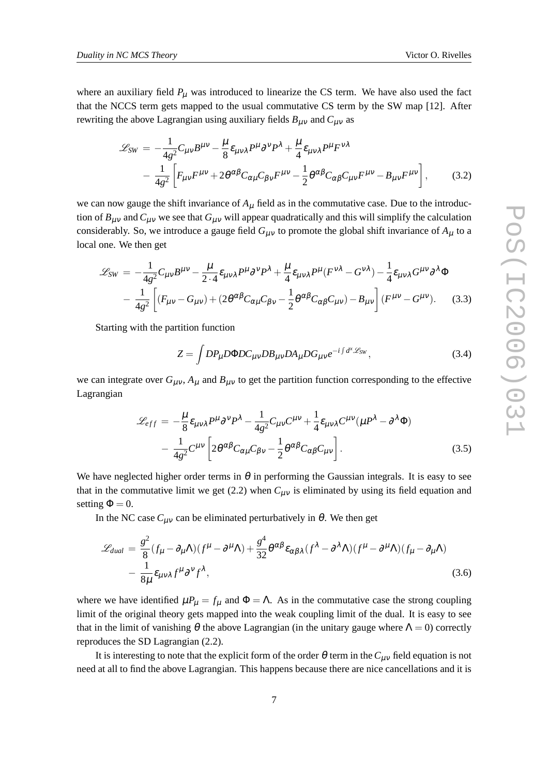where an auxiliary field  $P_{\mu}$  was introduced to linearize the CS term. We have also used the fact that the NCCS term gets mapped to the usual commutative CS term by the SW map [12]. After rewriting the above Lagrangian using auxiliary fields  $B_{\mu\nu}$  and  $C_{\mu\nu}$  as

$$
\mathcal{L}_{SW} = -\frac{1}{4g^2} C_{\mu\nu} B^{\mu\nu} - \frac{\mu}{8} \epsilon_{\mu\nu\lambda} P^{\mu} \partial^{\nu} P^{\lambda} + \frac{\mu}{4} \epsilon_{\mu\nu\lambda} P^{\mu} F^{\nu\lambda} \n- \frac{1}{4g^2} \left[ F_{\mu\nu} F^{\mu\nu} + 2 \theta^{\alpha\beta} C_{\alpha\mu} C_{\beta\nu} F^{\mu\nu} - \frac{1}{2} \theta^{\alpha\beta} C_{\alpha\beta} C_{\mu\nu} F^{\mu\nu} - B_{\mu\nu} F^{\mu\nu} \right],
$$
\n(3.2)

we can now gauge the shift invariance of  $A_\mu$  field as in the commutative case. Due to the introduction of  $B_{\mu\nu}$  and  $C_{\mu\nu}$  we see that  $G_{\mu\nu}$  will appear quadratically and this will simplify the calculation considerably. So, we introduce a gauge field  $G_{\mu\nu}$  to promote the global shift invariance of  $A_{\mu}$  to a local one. We then get

$$
\mathcal{L}_{SW} = -\frac{1}{4g^2} C_{\mu\nu} B^{\mu\nu} - \frac{\mu}{2 \cdot 4} \varepsilon_{\mu\nu\lambda} P^{\mu} \partial^{\nu} P^{\lambda} + \frac{\mu}{4} \varepsilon_{\mu\nu\lambda} P^{\mu} (F^{\nu\lambda} - G^{\nu\lambda}) - \frac{1}{4} \varepsilon_{\mu\nu\lambda} G^{\mu\nu} \partial^{\lambda} \Phi - \frac{1}{4g^2} \left[ (F_{\mu\nu} - G_{\mu\nu}) + (2\theta^{\alpha\beta} C_{\alpha\mu} C_{\beta\nu} - \frac{1}{2} \theta^{\alpha\beta} C_{\alpha\beta} C_{\mu\nu}) - B_{\mu\nu} \right] (F^{\mu\nu} - G^{\mu\nu}). \tag{3.3}
$$

Starting with the partition function

$$
Z = \int DP_{\mu} D\Phi DC_{\mu\nu} DB_{\mu\nu} DA_{\mu} DG_{\mu\nu} e^{-i \int d^x \mathcal{L}_{SW}}, \qquad (3.4)
$$

we can integrate over  $G_{\mu\nu}$ ,  $A_{\mu}$  and  $B_{\mu\nu}$  to get the partition function corresponding to the effective Lagrangian

$$
\mathcal{L}_{eff} = -\frac{\mu}{8} \varepsilon_{\mu\nu\lambda} P^{\mu} \partial^{\nu} P^{\lambda} - \frac{1}{4g^2} C_{\mu\nu} C^{\mu\nu} + \frac{1}{4} \varepsilon_{\mu\nu\lambda} C^{\mu\nu} (\mu P^{\lambda} - \partial^{\lambda} \Phi) - \frac{1}{4g^2} C^{\mu\nu} \left[ 2\theta^{\alpha\beta} C_{\alpha\mu} C_{\beta\nu} - \frac{1}{2} \theta^{\alpha\beta} C_{\alpha\beta} C_{\mu\nu} \right].
$$
 (3.5)

We have neglected higher order terms in  $\theta$  in performing the Gaussian integrals. It is easy to see that in the commutative limit we get  $(2.2)$  when  $C_{\mu\nu}$  is eliminated by using its field equation and setting  $\Phi = 0$ .

In the NC case  $C_{\mu\nu}$  can be eliminated perturbatively in  $\theta$ . We then get

$$
\mathcal{L}_{dual} = \frac{g^2}{8} (f_{\mu} - \partial_{\mu} \Lambda)(f^{\mu} - \partial^{\mu} \Lambda) + \frac{g^4}{32} \theta^{\alpha \beta} \varepsilon_{\alpha \beta \lambda} (f^{\lambda} - \partial^{\lambda} \Lambda)(f^{\mu} - \partial^{\mu} \Lambda)(f_{\mu} - \partial_{\mu} \Lambda) - \frac{1}{8\mu} \varepsilon_{\mu \nu \lambda} f^{\mu} \partial^{\nu} f^{\lambda},
$$
(3.6)

where we have identified  $\mu P_{\mu} = f_{\mu}$  and  $\Phi = \Lambda$ . As in the commutative case the strong coupling limit of the original theory gets mapped into the weak coupling limit of the dual. It is easy to see that in the limit of vanishing  $\theta$  the above Lagrangian (in the unitary gauge where  $\Lambda = 0$ ) correctly reproduces the SD Lagrangian (2.2).

It is interesting to note that the explicit form of the order  $\theta$  term in the  $C_{\mu\nu}$  field equation is not need at all to find the above Lagrangian. This happens because there are nice cancellations and it is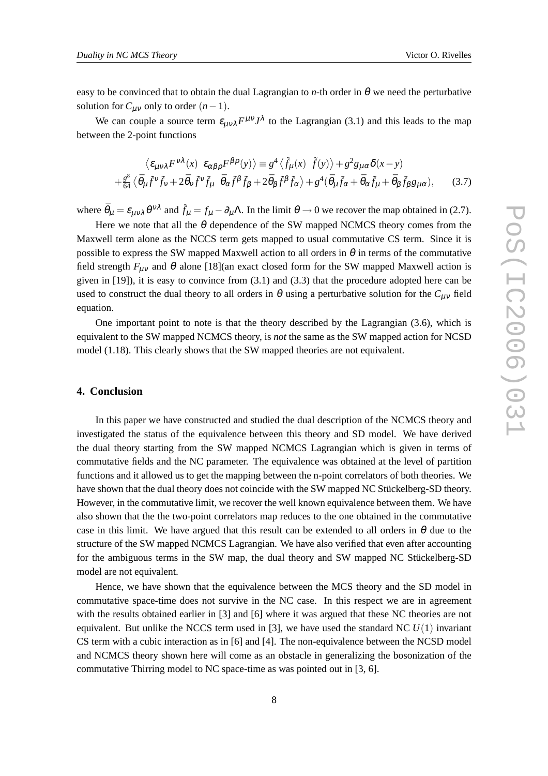easy to be convinced that to obtain the dual Lagrangian to *n*-th order in θ we need the perturbative solution for  $C_{\mu\nu}$  only to order  $(n-1)$ .

We can couple a source term  $\varepsilon_{\mu\nu\lambda}F^{\mu\nu}J^{\lambda}$  to the Lagrangian (3.1) and this leads to the map between the 2-point functions

$$
\langle \varepsilon_{\mu\nu\lambda} F^{\nu\lambda}(x) \varepsilon_{\alpha\beta\rho} F^{\beta\rho}(y) \rangle \equiv g^4 \langle \tilde{f}_{\mu}(x) \tilde{f}(y) \rangle + g^2 g_{\mu\alpha} \delta(x - y)
$$

$$
+ \frac{g^8}{64} \langle \bar{\theta}_{\mu} \tilde{f}^{\nu} \tilde{f}_{\nu} + 2 \bar{\theta}_{\nu} \tilde{f}^{\nu} \tilde{f}_{\mu} \bar{\theta}_{\alpha} \tilde{f}^{\beta} \tilde{f}_{\beta} + 2 \bar{\theta}_{\beta} \tilde{f}^{\beta} \tilde{f}_{\alpha} \rangle + g^4 (\bar{\theta}_{\mu} \tilde{f}_{\alpha} + \bar{\theta}_{\alpha} \tilde{f}_{\mu} + \bar{\theta}_{\beta} \tilde{f}_{\beta} g_{\mu\alpha}), \qquad (3.7)
$$

where  $\bar{\theta}_{\mu} = \varepsilon_{\mu\nu\lambda} \theta^{\nu\lambda}$  and  $\tilde{f}_{\mu} = f_{\mu} - \partial_{\mu}\Lambda$ . In the limit  $\theta \to 0$  we recover the map obtained in (2.7).

Here we note that all the  $\theta$  dependence of the SW mapped NCMCS theory comes from the Maxwell term alone as the NCCS term gets mapped to usual commutative CS term. Since it is possible to express the SW mapped Maxwell action to all orders in  $\theta$  in terms of the commutative field strength  $F_{\mu\nu}$  and  $\theta$  alone [18](an exact closed form for the SW mapped Maxwell action is given in [19]), it is easy to convince from (3.1) and (3.3) that the procedure adopted here can be used to construct the dual theory to all orders in  $\theta$  using a perturbative solution for the  $C_{\mu\nu}$  field equation.

One important point to note is that the theory described by the Lagrangian (3.6), which is equivalent to the SW mapped NCMCS theory, is *not* the same as the SW mapped action for NCSD model (1.18). This clearly shows that the SW mapped theories are not equivalent.

#### **4. Conclusion**

In this paper we have constructed and studied the dual description of the NCMCS theory and investigated the status of the equivalence between this theory and SD model. We have derived the dual theory starting from the SW mapped NCMCS Lagrangian which is given in terms of commutative fields and the NC parameter. The equivalence was obtained at the level of partition functions and it allowed us to get the mapping between the n-point correlators of both theories. We have shown that the dual theory does not coincide with the SW mapped NC Stückelberg-SD theory. However, in the commutative limit, we recover the well known equivalence between them. We have also shown that the the two-point correlators map reduces to the one obtained in the commutative case in this limit. We have argued that this result can be extended to all orders in  $\theta$  due to the structure of the SW mapped NCMCS Lagrangian. We have also verified that even after accounting for the ambiguous terms in the SW map, the dual theory and SW mapped NC Stückelberg-SD model are not equivalent.

Hence, we have shown that the equivalence between the MCS theory and the SD model in commutative space-time does not survive in the NC case. In this respect we are in agreement with the results obtained earlier in [3] and [6] where it was argued that these NC theories are not equivalent. But unlike the NCCS term used in [3], we have used the standard NC  $U(1)$  invariant CS term with a cubic interaction as in [6] and [4]. The non-equivalence between the NCSD model and NCMCS theory shown here will come as an obstacle in generalizing the bosonization of the commutative Thirring model to NC space-time as was pointed out in [3, 6].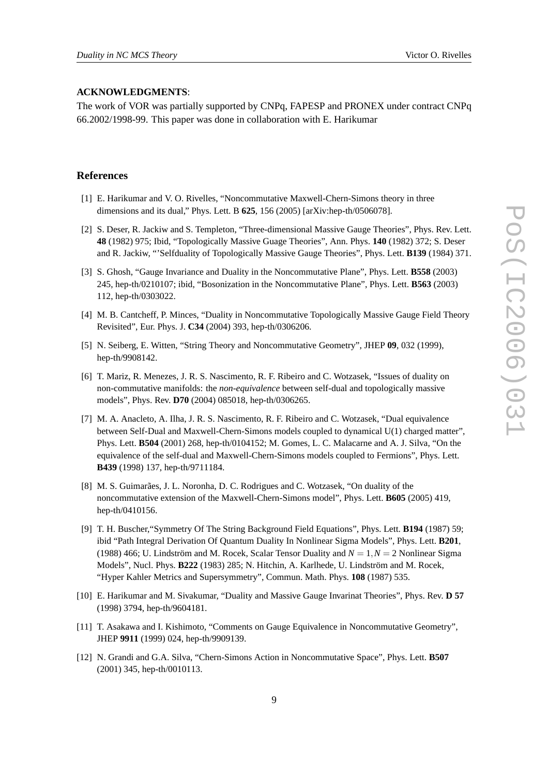#### **ACKNOWLEDGMENTS**:

The work of VOR was partially supported by CNPq, FAPESP and PRONEX under contract CNPq 66.2002/1998-99. This paper was done in collaboration with E. Harikumar

### **References**

- [1] E. Harikumar and V. O. Rivelles, "Noncommutative Maxwell-Chern-Simons theory in three dimensions and its dual," Phys. Lett. B **625**, 156 (2005) [arXiv:hep-th/0506078].
- [2] S. Deser, R. Jackiw and S. Templeton, "Three-dimensional Massive Gauge Theories", Phys. Rev. Lett. **48** (1982) 975; Ibid, "Topologically Massive Guage Theories", Ann. Phys. **140** (1982) 372; S. Deser and R. Jackiw, "'Selfduality of Topologically Massive Gauge Theories", Phys. Lett. **B139** (1984) 371.
- [3] S. Ghosh, "Gauge Invariance and Duality in the Noncommutative Plane", Phys. Lett. **B558** (2003) 245, hep-th/0210107; ibid, "Bosonization in the Noncommutative Plane", Phys. Lett. **B563** (2003) 112, hep-th/0303022.
- [4] M. B. Cantcheff, P. Minces, "Duality in Noncommutative Topologically Massive Gauge Field Theory Revisited", Eur. Phys. J. **C34** (2004) 393, hep-th/0306206.
- [5] N. Seiberg, E. Witten, "String Theory and Noncommutative Geometry", JHEP **09**, 032 (1999), hep-th/9908142.
- [6] T. Mariz, R. Menezes, J. R. S. Nascimento, R. F. Ribeiro and C. Wotzasek, "Issues of duality on non-commutative manifolds: the *non-equivalence* between self-dual and topologically massive models", Phys. Rev. **D70** (2004) 085018, hep-th/0306265.
- [7] M. A. Anacleto, A. Ilha, J. R. S. Nascimento, R. F. Ribeiro and C. Wotzasek, "Dual equivalence between Self-Dual and Maxwell-Chern-Simons models coupled to dynamical U(1) charged matter", Phys. Lett. **B504** (2001) 268, hep-th/0104152; M. Gomes, L. C. Malacarne and A. J. Silva, "On the equivalence of the self-dual and Maxwell-Chern-Simons models coupled to Fermions", Phys. Lett. **B439** (1998) 137, hep-th/9711184.
- [8] M. S. Guimarães, J. L. Noronha, D. C. Rodrigues and C. Wotzasek, "On duality of the noncommutative extension of the Maxwell-Chern-Simons model", Phys. Lett. **B605** (2005) 419, hep-th/0410156.
- [9] T. H. Buscher,"Symmetry Of The String Background Field Equations", Phys. Lett. **B194** (1987) 59; ibid "Path Integral Derivation Of Quantum Duality In Nonlinear Sigma Models", Phys. Lett. **B201**, (1988) 466; U. Lindström and M. Rocek, Scalar Tensor Duality and  $N = 1, N = 2$  Nonlinear Sigma Models", Nucl. Phys. **B222** (1983) 285; N. Hitchin, A. Karlhede, U. Lindström and M. Rocek, "Hyper Kahler Metrics and Supersymmetry", Commun. Math. Phys. **108** (1987) 535.
- [10] E. Harikumar and M. Sivakumar, "Duality and Massive Gauge Invarinat Theories", Phys. Rev. **D 57** (1998) 3794, hep-th/9604181.
- [11] T. Asakawa and I. Kishimoto, "Comments on Gauge Equivalence in Noncommutative Geometry", JHEP **9911** (1999) 024, hep-th/9909139.
- [12] N. Grandi and G.A. Silva, "Chern-Simons Action in Noncommutative Space", Phys. Lett. **B507** (2001) 345, hep-th/0010113.